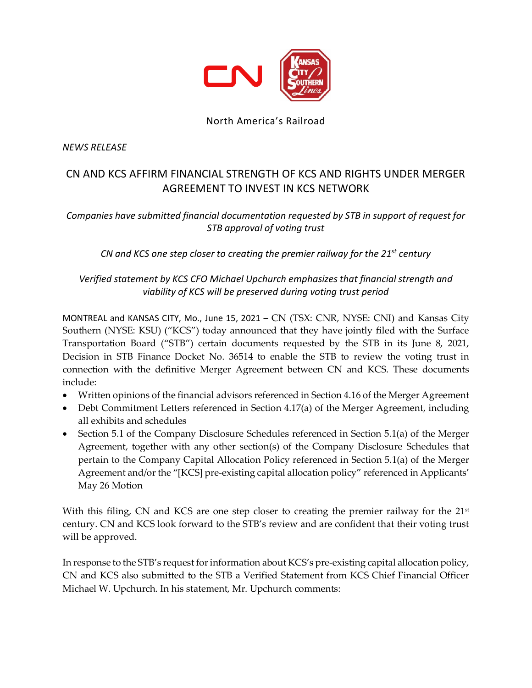

# North America's Railroad

*NEWS RELEASE*

# CN AND KCS AFFIRM FINANCIAL STRENGTH OF KCS AND RIGHTS UNDER MERGER AGREEMENT TO INVEST IN KCS NETWORK

*Companies have submitted financial documentation requested by STB in support of request for STB approval of voting trust*

*CN and KCS one step closer to creating the premier railway for the 21st century*

*Verified statement by KCS CFO Michael Upchurch emphasizes that financial strength and viability of KCS will be preserved during voting trust period*

MONTREAL and KANSAS CITY, Mo., June 15, 2021 – CN (TSX: CNR, NYSE: CNI) and Kansas City Southern (NYSE: KSU) ("KCS") today announced that they have jointly filed with the Surface Transportation Board ("STB") certain documents requested by the STB in its June 8, 2021, Decision in STB Finance Docket No. 36514 to enable the STB to review the voting trust in connection with the definitive Merger Agreement between CN and KCS. These documents include:

- Written opinions of the financial advisors referenced in Section 4.16 of the Merger Agreement
- Debt Commitment Letters referenced in Section 4.17(a) of the Merger Agreement, including all exhibits and schedules
- Section 5.1 of the Company Disclosure Schedules referenced in Section 5.1(a) of the Merger Agreement, together with any other section(s) of the Company Disclosure Schedules that pertain to the Company Capital Allocation Policy referenced in Section 5.1(a) of the Merger Agreement and/or the "[KCS] pre-existing capital allocation policy" referenced in Applicants' May 26 Motion

With this filing, CN and KCS are one step closer to creating the premier railway for the 21<sup>st</sup> century. CN and KCS look forward to the STB's review and are confident that their voting trust will be approved.

In response to the STB's request for information about KCS's pre-existing capital allocation policy, CN and KCS also submitted to the STB a Verified Statement from KCS Chief Financial Officer Michael W. Upchurch. In his statement, Mr. Upchurch comments: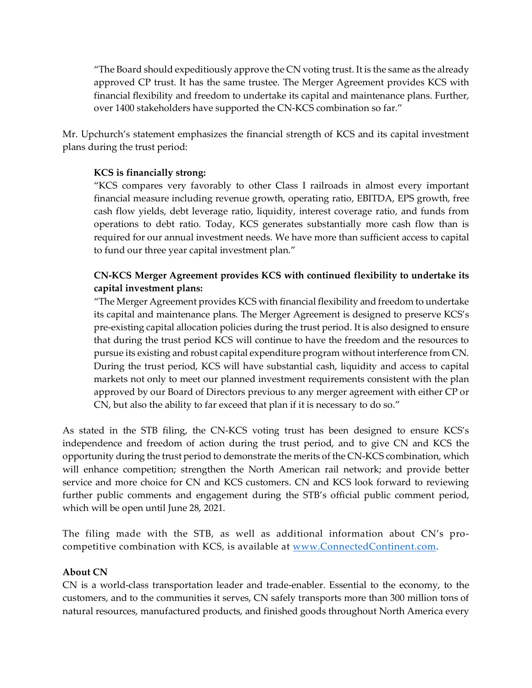"The Board should expeditiously approve the CN voting trust. It is the same as the already approved CP trust. It has the same trustee. The Merger Agreement provides KCS with financial flexibility and freedom to undertake its capital and maintenance plans. Further, over 1400 stakeholders have supported the CN-KCS combination so far."

Mr. Upchurch's statement emphasizes the financial strength of KCS and its capital investment plans during the trust period:

# **KCS is financially strong:**

"KCS compares very favorably to other Class I railroads in almost every important financial measure including revenue growth, operating ratio, EBITDA, EPS growth, free cash flow yields, debt leverage ratio, liquidity, interest coverage ratio, and funds from operations to debt ratio. Today, KCS generates substantially more cash flow than is required for our annual investment needs. We have more than sufficient access to capital to fund our three year capital investment plan."

# **CN-KCS Merger Agreement provides KCS with continued flexibility to undertake its capital investment plans:**

"The Merger Agreement provides KCS with financial flexibility and freedom to undertake its capital and maintenance plans. The Merger Agreement is designed to preserve KCS's pre-existing capital allocation policies during the trust period. It is also designed to ensure that during the trust period KCS will continue to have the freedom and the resources to pursue its existing and robust capital expenditure program without interference from CN. During the trust period, KCS will have substantial cash, liquidity and access to capital markets not only to meet our planned investment requirements consistent with the plan approved by our Board of Directors previous to any merger agreement with either CP or CN, but also the ability to far exceed that plan if it is necessary to do so."

As stated in the STB filing, the CN-KCS voting trust has been designed to ensure KCS's independence and freedom of action during the trust period, and to give CN and KCS the opportunity during the trust period to demonstrate the merits of the CN-KCS combination, which will enhance competition; strengthen the North American rail network; and provide better service and more choice for CN and KCS customers. CN and KCS look forward to reviewing further public comments and engagement during the STB's official public comment period, which will be open until June 28, 2021.

The filing made with the STB, as well as additional information about CN's procompetitive combination with KCS, is available at [www.ConnectedContinent.com.](http://www.connectedcontinent.com/)

# **About CN**

CN is a world-class transportation leader and trade-enabler. Essential to the economy, to the customers, and to the communities it serves, CN safely transports more than 300 million tons of natural resources, manufactured products, and finished goods throughout North America every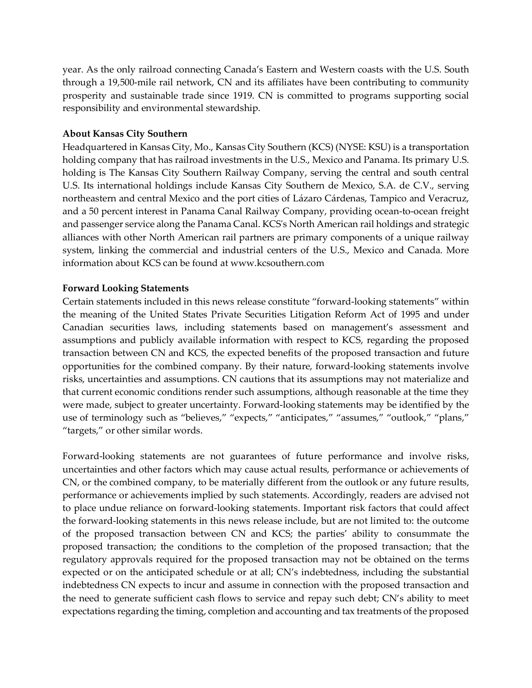year. As the only railroad connecting Canada's Eastern and Western coasts with the U.S. South through a 19,500-mile rail network, CN and its affiliates have been contributing to community prosperity and sustainable trade since 1919. CN is committed to programs supporting social responsibility and environmental stewardship.

#### **About Kansas City Southern**

Headquartered in Kansas City, Mo., Kansas City Southern (KCS) (NYSE: KSU) is a transportation holding company that has railroad investments in the U.S., Mexico and Panama. Its primary U.S. holding is The Kansas City Southern Railway Company, serving the central and south central U.S. Its international holdings include Kansas City Southern de Mexico, S.A. de C.V., serving northeastern and central Mexico and the port cities of Lázaro Cárdenas, Tampico and Veracruz, and a 50 percent interest in Panama Canal Railway Company, providing ocean-to-ocean freight and passenger service along the Panama Canal. KCS's North American rail holdings and strategic alliances with other North American rail partners are primary components of a unique railway system, linking the commercial and industrial centers of the U.S., Mexico and Canada. More information about KCS can be found at www.kcsouthern.com

#### **Forward Looking Statements**

Certain statements included in this news release constitute "forward-looking statements" within the meaning of the United States Private Securities Litigation Reform Act of 1995 and under Canadian securities laws, including statements based on management's assessment and assumptions and publicly available information with respect to KCS, regarding the proposed transaction between CN and KCS, the expected benefits of the proposed transaction and future opportunities for the combined company. By their nature, forward-looking statements involve risks, uncertainties and assumptions. CN cautions that its assumptions may not materialize and that current economic conditions render such assumptions, although reasonable at the time they were made, subject to greater uncertainty. Forward-looking statements may be identified by the use of terminology such as "believes," "expects," "anticipates," "assumes," "outlook," "plans," "targets," or other similar words.

Forward-looking statements are not guarantees of future performance and involve risks, uncertainties and other factors which may cause actual results, performance or achievements of CN, or the combined company, to be materially different from the outlook or any future results, performance or achievements implied by such statements. Accordingly, readers are advised not to place undue reliance on forward-looking statements. Important risk factors that could affect the forward-looking statements in this news release include, but are not limited to: the outcome of the proposed transaction between CN and KCS; the parties' ability to consummate the proposed transaction; the conditions to the completion of the proposed transaction; that the regulatory approvals required for the proposed transaction may not be obtained on the terms expected or on the anticipated schedule or at all; CN's indebtedness, including the substantial indebtedness CN expects to incur and assume in connection with the proposed transaction and the need to generate sufficient cash flows to service and repay such debt; CN's ability to meet expectations regarding the timing, completion and accounting and tax treatments of the proposed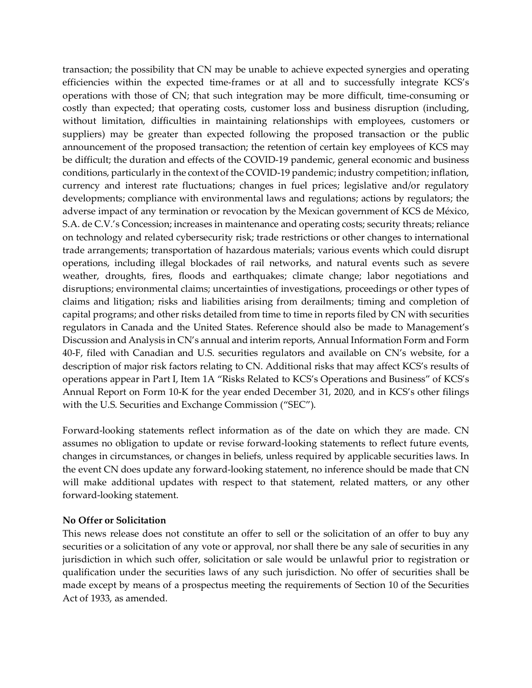transaction; the possibility that CN may be unable to achieve expected synergies and operating efficiencies within the expected time-frames or at all and to successfully integrate KCS's operations with those of CN; that such integration may be more difficult, time-consuming or costly than expected; that operating costs, customer loss and business disruption (including, without limitation, difficulties in maintaining relationships with employees, customers or suppliers) may be greater than expected following the proposed transaction or the public announcement of the proposed transaction; the retention of certain key employees of KCS may be difficult; the duration and effects of the COVID-19 pandemic, general economic and business conditions, particularly in the context of the COVID-19 pandemic; industry competition; inflation, currency and interest rate fluctuations; changes in fuel prices; legislative and/or regulatory developments; compliance with environmental laws and regulations; actions by regulators; the adverse impact of any termination or revocation by the Mexican government of KCS de México, S.A. de C.V.'s Concession; increases in maintenance and operating costs; security threats; reliance on technology and related cybersecurity risk; trade restrictions or other changes to international trade arrangements; transportation of hazardous materials; various events which could disrupt operations, including illegal blockades of rail networks, and natural events such as severe weather, droughts, fires, floods and earthquakes; climate change; labor negotiations and disruptions; environmental claims; uncertainties of investigations, proceedings or other types of claims and litigation; risks and liabilities arising from derailments; timing and completion of capital programs; and other risks detailed from time to time in reports filed by CN with securities regulators in Canada and the United States. Reference should also be made to Management's Discussion and Analysis in CN's annual and interim reports, Annual Information Form and Form 40-F, filed with Canadian and U.S. securities regulators and available on CN's website, for a description of major risk factors relating to CN. Additional risks that may affect KCS's results of operations appear in Part I, Item 1A "Risks Related to KCS's Operations and Business" of KCS's Annual Report on Form 10-K for the year ended December 31, 2020, and in KCS's other filings with the U.S. Securities and Exchange Commission ("SEC").

Forward-looking statements reflect information as of the date on which they are made. CN assumes no obligation to update or revise forward-looking statements to reflect future events, changes in circumstances, or changes in beliefs, unless required by applicable securities laws. In the event CN does update any forward-looking statement, no inference should be made that CN will make additional updates with respect to that statement, related matters, or any other forward-looking statement.

# **No Offer or Solicitation**

This news release does not constitute an offer to sell or the solicitation of an offer to buy any securities or a solicitation of any vote or approval, nor shall there be any sale of securities in any jurisdiction in which such offer, solicitation or sale would be unlawful prior to registration or qualification under the securities laws of any such jurisdiction. No offer of securities shall be made except by means of a prospectus meeting the requirements of Section 10 of the Securities Act of 1933, as amended.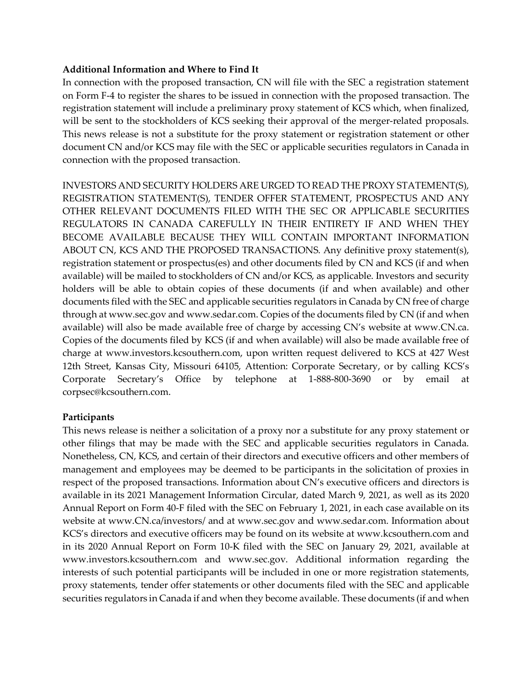# **Additional Information and Where to Find It**

In connection with the proposed transaction, CN will file with the SEC a registration statement on Form F-4 to register the shares to be issued in connection with the proposed transaction. The registration statement will include a preliminary proxy statement of KCS which, when finalized, will be sent to the stockholders of KCS seeking their approval of the merger-related proposals. This news release is not a substitute for the proxy statement or registration statement or other document CN and/or KCS may file with the SEC or applicable securities regulators in Canada in connection with the proposed transaction.

INVESTORS AND SECURITY HOLDERS ARE URGED TO READ THE PROXY STATEMENT(S), REGISTRATION STATEMENT(S), TENDER OFFER STATEMENT, PROSPECTUS AND ANY OTHER RELEVANT DOCUMENTS FILED WITH THE SEC OR APPLICABLE SECURITIES REGULATORS IN CANADA CAREFULLY IN THEIR ENTIRETY IF AND WHEN THEY BECOME AVAILABLE BECAUSE THEY WILL CONTAIN IMPORTANT INFORMATION ABOUT CN, KCS AND THE PROPOSED TRANSACTIONS. Any definitive proxy statement(s), registration statement or prospectus(es) and other documents filed by CN and KCS (if and when available) will be mailed to stockholders of CN and/or KCS, as applicable. Investors and security holders will be able to obtain copies of these documents (if and when available) and other documents filed with the SEC and applicable securities regulators in Canada by CN free of charge through at www.sec.gov and www.sedar.com. Copies of the documents filed by CN (if and when available) will also be made available free of charge by accessing CN's website at www.CN.ca. Copies of the documents filed by KCS (if and when available) will also be made available free of charge at www.investors.kcsouthern.com, upon written request delivered to KCS at 427 West 12th Street, Kansas City, Missouri 64105, Attention: Corporate Secretary, or by calling KCS's Corporate Secretary's Office by telephone at 1-888-800-3690 or by email at corpsec@kcsouthern.com.

# **Participants**

This news release is neither a solicitation of a proxy nor a substitute for any proxy statement or other filings that may be made with the SEC and applicable securities regulators in Canada. Nonetheless, CN, KCS, and certain of their directors and executive officers and other members of management and employees may be deemed to be participants in the solicitation of proxies in respect of the proposed transactions. Information about CN's executive officers and directors is available in its 2021 Management Information Circular, dated March 9, 2021, as well as its 2020 Annual Report on Form 40-F filed with the SEC on February 1, 2021, in each case available on its website at www.CN.ca/investors/ and at www.sec.gov and www.sedar.com. Information about KCS's directors and executive officers may be found on its website at www.kcsouthern.com and in its 2020 Annual Report on Form 10-K filed with the SEC on January 29, 2021, available at www.investors.kcsouthern.com and www.sec.gov. Additional information regarding the interests of such potential participants will be included in one or more registration statements, proxy statements, tender offer statements or other documents filed with the SEC and applicable securities regulators in Canada if and when they become available. These documents (if and when